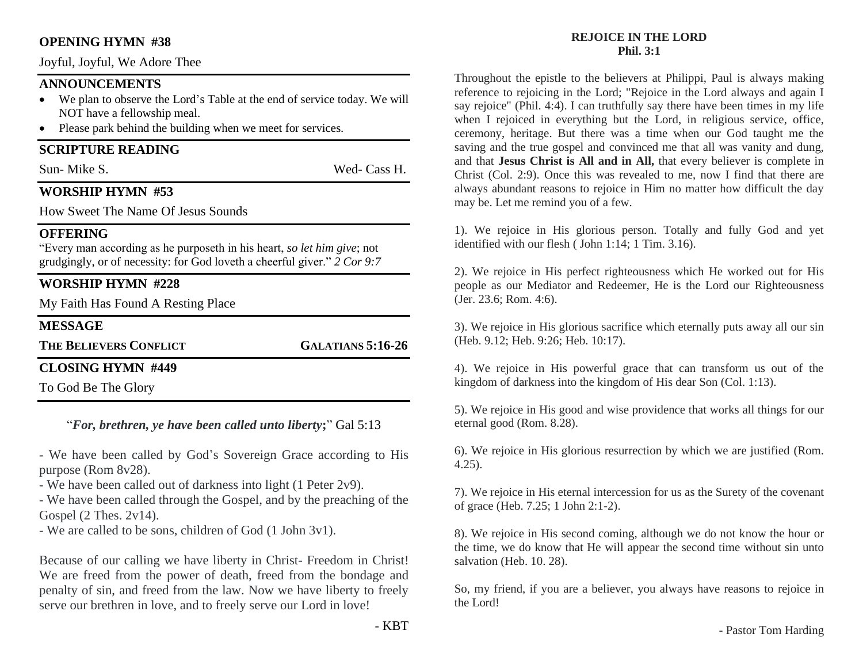#### **OPENING HYMN #38**

Joyful, Joyful, We Adore Thee

#### **ANNOUNCEMENTS**

- We plan to observe the Lord's Table at the end of service today. We will NOT have a fellowship meal.
- Please park behind the building when we meet for services.

#### **SCRIPTURE READING**

Sun- Mike S. Wed- Cass H.

#### **WORSHIP HYMN #53**

How Sweet The Name Of Jesus Sounds

#### **OFFERING**

"Every man according as he purposeth in his heart, *so let him give*; not grudgingly, or of necessity: for God loveth a cheerful giver." *2 Cor 9:7*

### **WORSHIP HYMN #228**

My Faith Has Found A Resting Place

#### **MESSAGE**

**THE BELIEVERS CONFLICT GALATIANS 5:16-26**

#### **CLOSING HYMN #449**

To God Be The Glory

"*For, brethren, ye have been called unto liberty***;**" Gal 5:13

- We have been called by God's Sovereign Grace according to His purpose (Rom 8v28).

- We have been called out of darkness into light (1 Peter 2v9).

- We have been called through the Gospel, and by the preaching of the Gospel (2 Thes. 2v14).

- We are called to be sons, children of God (1 John 3v1).

Because of our calling we have liberty in Christ- Freedom in Christ! We are freed from the power of death, freed from the bondage and penalty of sin, and freed from the law. Now we have liberty to freely serve our brethren in love, and to freely serve our Lord in love!

#### **REJOICE IN THE LORD Phil. 3:1**

Throughout the epistle to the believers at Philippi, Paul is always making reference to rejoicing in the Lord; "Rejoice in the Lord always and again I say rejoice" (Phil. 4:4). I can truthfully say there have been times in my life when I rejoiced in everything but the Lord, in religious service, office, ceremony, heritage. But there was a time when our God taught me the saving and the true gospel and convinced me that all was vanity and dung, and that **Jesus Christ is All and in All,** that every believer is complete in Christ (Col. 2:9). Once this was revealed to me, now I find that there are always abundant reasons to rejoice in Him no matter how difficult the day may be. Let me remind you of a few.

1). We rejoice in His glorious person. Totally and fully God and yet identified with our flesh ( John 1:14; 1 Tim. 3.16).

2). We rejoice in His perfect righteousness which He worked out for His people as our Mediator and Redeemer, He is the Lord our Righteousness (Jer. 23.6; Rom. 4:6).

3). We rejoice in His glorious sacrifice which eternally puts away all our sin (Heb. 9.12; Heb. 9:26; Heb. 10:17).

4). We rejoice in His powerful grace that can transform us out of the kingdom of darkness into the kingdom of His dear Son (Col. 1:13).

5). We rejoice in His good and wise providence that works all things for our eternal good (Rom. 8.28).

6). We rejoice in His glorious resurrection by which we are justified (Rom. 4.25).

7). We rejoice in His eternal intercession for us as the Surety of the covenant of grace (Heb. 7.25; 1 John 2:1-2).

8). We rejoice in His second coming, although we do not know the hour or the time, we do know that He will appear the second time without sin unto salvation (Heb. 10. 28).

So, my friend, if you are a believer, you always have reasons to rejoice in the Lord!